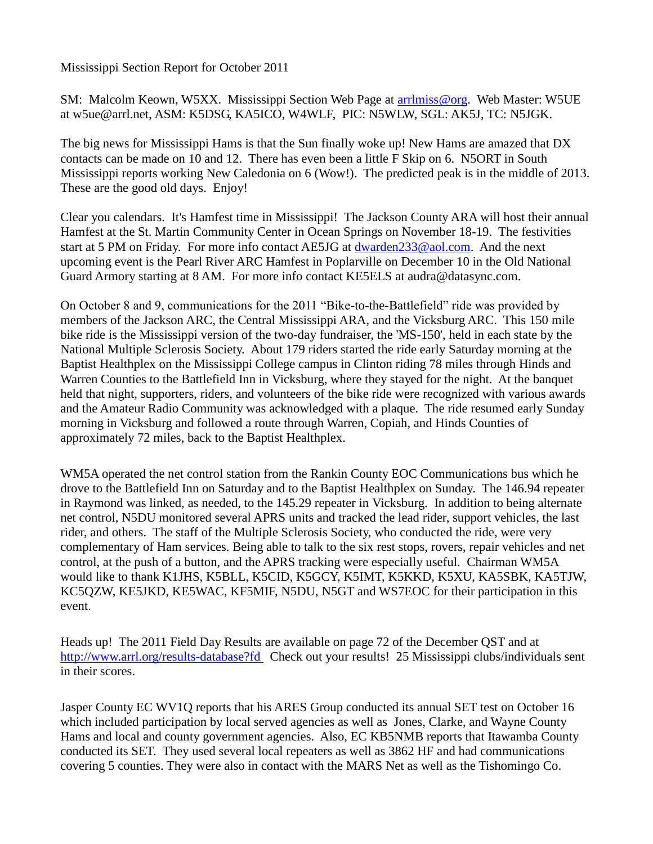Mississippi Section Report for October 2011

SM: Malcolm Keown, W5XX. Mississippi Section Web Page at [arrlmiss@org.](mailto:arrlmiss@org) Web Master: W5UE at w5ue@arrl.net, ASM: K5DSG, KA5ICO, W4WLF, PIC: N5WLW, SGL: AK5J, TC: N5JGK.

The big news for Mississippi Hams is that the Sun finally woke up! New Hams are amazed that DX contacts can be made on 10 and 12. There has even been a little F Skip on 6. N5ORT in South Mississippi reports working New Caledonia on 6 (Wow!). The predicted peak is in the middle of 2013. These are the good old days. Enjoy!

Clear you calendars. It's Hamfest time in Mississippi! The Jackson County ARA will host their annual Hamfest at the St. Martin Community Center in Ocean Springs on November 18-19. The festivities start at 5 PM on Friday. For more info contact AE5JG at [dwarden233@aol.com.](mailto:dwarden233@aol.com) And the next upcoming event is the Pearl River ARC Hamfest in Poplarville on December 10 in the Old National Guard Armory starting at 8 AM. For more info contact KE5ELS at audra@datasync.com.

On October 8 and 9, communications for the 2011 "Bike-to-the-Battlefield" ride was provided by members of the Jackson ARC, the Central Mississippi ARA, and the Vicksburg ARC. This 150 mile bike ride is the Mississippi version of the two-day fundraiser, the 'MS-150', held in each state by the National Multiple Sclerosis Society. About 179 riders started the ride early Saturday morning at the Baptist Healthplex on the Mississippi College campus in Clinton riding 78 miles through Hinds and Warren Counties to the Battlefield Inn in Vicksburg, where they stayed for the night. At the banquet held that night, supporters, riders, and volunteers of the bike ride were recognized with various awards and the Amateur Radio Community was acknowledged with a plaque. The ride resumed early Sunday morning in Vicksburg and followed a route through Warren, Copiah, and Hinds Counties of approximately 72 miles, back to the Baptist Healthplex.

WM5A operated the net control station from the Rankin County EOC Communications bus which he drove to the Battlefield Inn on Saturday and to the Baptist Healthplex on Sunday. The 146.94 repeater in Raymond was linked, as needed, to the 145.29 repeater in Vicksburg. In addition to being alternate net control, N5DU monitored several APRS units and tracked the lead rider, support vehicles, the last rider, and others. The staff of the Multiple Sclerosis Society, who conducted the ride, were very complementary of Ham services. Being able to talk to the six rest stops, rovers, repair vehicles and net control, at the push of a button, and the APRS tracking were especially useful. Chairman WM5A would like to thank K1JHS, K5BLL, K5CID, K5GCY, K5IMT, K5KKD, K5XU, KA5SBK, KA5TJW, KC5QZW, KE5JKD, KE5WAC, KF5MIF, N5DU, N5GT and WS7EOC for their participation in this event.

Heads up! The 2011 Field Day Results are available on page 72 of the December QST and at <http://www.arrl.org/results-database?fd> Check out your results! 25 Mississippi clubs/individuals sent in their scores.

Jasper County EC WV1Q reports that his ARES Group conducted its annual SET test on October 16 which included participation by local served agencies as well as Jones, Clarke, and Wayne County Hams and local and county government agencies. Also, EC KB5NMB reports that Itawamba County conducted its SET. They used several local repeaters as well as 3862 HF and had communications covering 5 counties. They were also in contact with the MARS Net as well as the Tishomingo Co.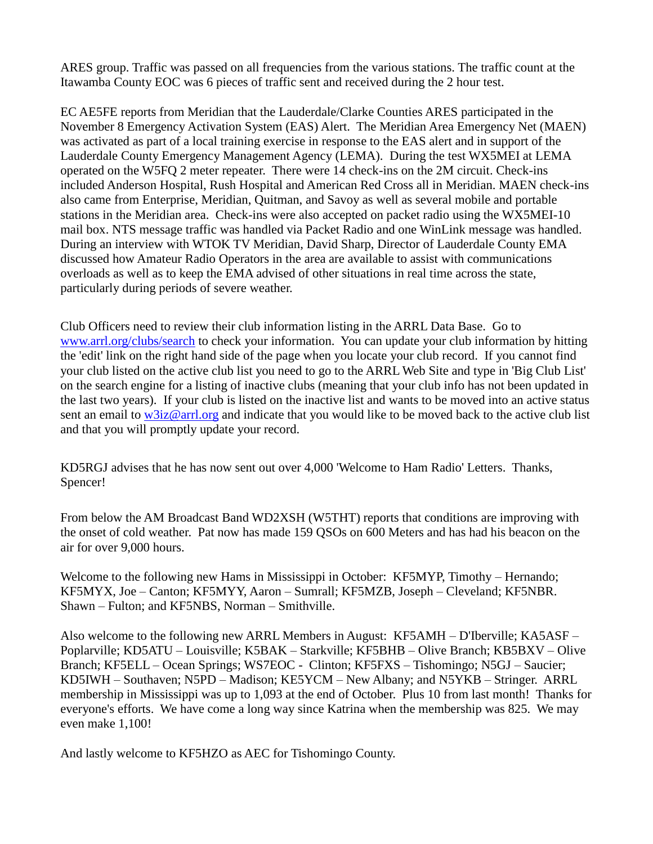ARES group. Traffic was passed on all frequencies from the various stations. The traffic count at the Itawamba County EOC was 6 pieces of traffic sent and received during the 2 hour test.

EC AE5FE reports from Meridian that the Lauderdale/Clarke Counties ARES participated in the November 8 Emergency Activation System (EAS) Alert. The Meridian Area Emergency Net (MAEN) was activated as part of a local training exercise in response to the EAS alert and in support of the Lauderdale County Emergency Management Agency (LEMA). During the test WX5MEI at LEMA operated on the W5FQ 2 meter repeater. There were 14 check-ins on the 2M circuit. Check-ins included Anderson Hospital, Rush Hospital and American Red Cross all in Meridian. MAEN check-ins also came from Enterprise, Meridian, Quitman, and Savoy as well as several mobile and portable stations in the Meridian area. Check-ins were also accepted on packet radio using the WX5MEI-10 mail box. NTS message traffic was handled via Packet Radio and one WinLink message was handled. During an interview with WTOK TV Meridian, David Sharp, Director of Lauderdale County EMA discussed how Amateur Radio Operators in the area are available to assist with communications overloads as well as to keep the EMA advised of other situations in real time across the state, particularly during periods of severe weather.

Club Officers need to review their club information listing in the ARRL Data Base. Go to [www.arrl.org/clubs/search](http://www.arrl.org/clubs/serarch) to check your information. You can update your club information by hitting the 'edit' link on the right hand side of the page when you locate your club record. If you cannot find your club listed on the active club list you need to go to the ARRL Web Site and type in 'Big Club List' on the search engine for a listing of inactive clubs (meaning that your club info has not been updated in the last two years). If your club is listed on the inactive list and wants to be moved into an active status sent an email to [w3iz@arrl.org](mailto:w3iz@arrl.org) and indicate that you would like to be moved back to the active club list and that you will promptly update your record.

KD5RGJ advises that he has now sent out over 4,000 'Welcome to Ham Radio' Letters. Thanks, Spencer!

From below the AM Broadcast Band WD2XSH (W5THT) reports that conditions are improving with the onset of cold weather. Pat now has made 159 QSOs on 600 Meters and has had his beacon on the air for over 9,000 hours.

Welcome to the following new Hams in Mississippi in October: KF5MYP, Timothy – Hernando; KF5MYX, Joe – Canton; KF5MYY, Aaron – Sumrall; KF5MZB, Joseph – Cleveland; KF5NBR. Shawn – Fulton; and KF5NBS, Norman – Smithville.

Also welcome to the following new ARRL Members in August: KF5AMH – D'Iberville; KA5ASF – Poplarville; KD5ATU – Louisville; K5BAK – Starkville; KF5BHB – Olive Branch; KB5BXV – Olive Branch; KF5ELL – Ocean Springs; WS7EOC - Clinton; KF5FXS – Tishomingo; N5GJ – Saucier; KD5IWH – Southaven; N5PD – Madison; KE5YCM – New Albany; and N5YKB – Stringer. ARRL membership in Mississippi was up to 1,093 at the end of October. Plus 10 from last month! Thanks for everyone's efforts. We have come a long way since Katrina when the membership was 825. We may even make 1,100!

And lastly welcome to KF5HZO as AEC for Tishomingo County.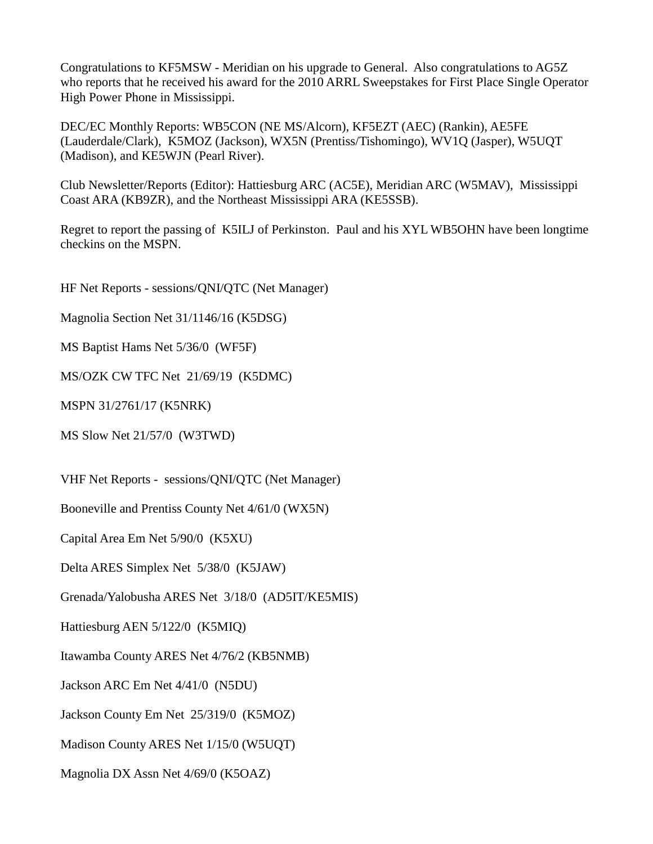Congratulations to KF5MSW - Meridian on his upgrade to General. Also congratulations to AG5Z who reports that he received his award for the 2010 ARRL Sweepstakes for First Place Single Operator High Power Phone in Mississippi.

DEC/EC Monthly Reports: WB5CON (NE MS/Alcorn), KF5EZT (AEC) (Rankin), AE5FE (Lauderdale/Clark), K5MOZ (Jackson), WX5N (Prentiss/Tishomingo), WV1Q (Jasper), W5UQT (Madison), and KE5WJN (Pearl River).

Club Newsletter/Reports (Editor): Hattiesburg ARC (AC5E), Meridian ARC (W5MAV), Mississippi Coast ARA (KB9ZR), and the Northeast Mississippi ARA (KE5SSB).

Regret to report the passing of K5ILJ of Perkinston. Paul and his XYL WB5OHN have been longtime checkins on the MSPN.

HF Net Reports - sessions/QNI/QTC (Net Manager)

Magnolia Section Net 31/1146/16 (K5DSG)

MS Baptist Hams Net 5/36/0 (WF5F)

MS/OZK CW TFC Net 21/69/19 (K5DMC)

MSPN 31/2761/17 (K5NRK)

MS Slow Net 21/57/0 (W3TWD)

VHF Net Reports - sessions/QNI/QTC (Net Manager)

Booneville and Prentiss County Net 4/61/0 (WX5N)

Capital Area Em Net 5/90/0 (K5XU)

Delta ARES Simplex Net 5/38/0 (K5JAW)

Grenada/Yalobusha ARES Net 3/18/0 (AD5IT/KE5MIS)

Hattiesburg AEN 5/122/0 (K5MIQ)

Itawamba County ARES Net 4/76/2 (KB5NMB)

Jackson ARC Em Net 4/41/0 (N5DU)

Jackson County Em Net 25/319/0 (K5MOZ)

Madison County ARES Net 1/15/0 (W5UQT)

Magnolia DX Assn Net 4/69/0 (K5OAZ)